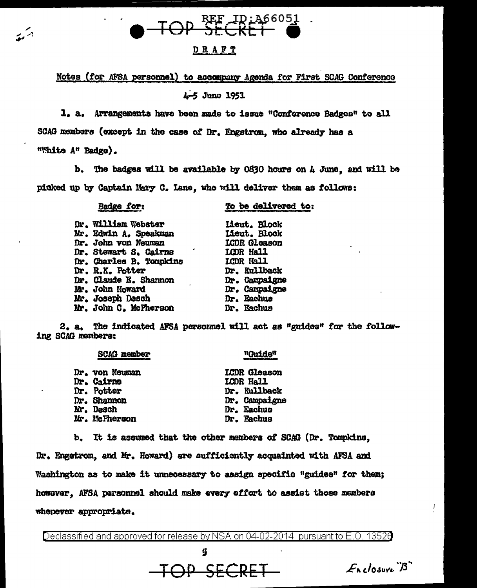

## DRAFT

Notes (for AFSA personnel) to accompany Agenda for First SCAG Conference 4-5 June 1951

I. a. Arrangements have been made to issue "Conference Badges" to all SCAG members (except in the case of Dr. Engstrom, who already has a "White A" Badge).

b. The badges will be available by 0630 hours on A June, and will be picked up by Captain Mary C. Lane, who will deliver them as follows:

Badge for:

بريج

To be delivered to:

| Dr. William Webster          | Lieut. Block        |
|------------------------------|---------------------|
| Mr. Edwin A. Speakman        | Lieut. Block        |
| Dr. John von Neuman          | <b>LCDR</b> Gleason |
| Dr. Stewart S. Cairns        | LCDR Hall           |
| Dr. Charles B. Tompkins      | LCDR Hall           |
| Dr. R.K. Potter              | Dr. Kullback        |
| <b>Dr. Claude E. Shannon</b> | Dr. Campaigne       |
| Mr. John Howard              | Dr. Campaigne       |
| Mr. Joseph Desch             | Dr. Eachus          |
| Mr. John C. McPherson        | Dr. Eachus          |

The indicated AFSA personnel will act as "guides" for the follow-2. a. ing SCAG members:

| <b>SCAG member</b> | "Guide"             |
|--------------------|---------------------|
| Dr. von Neuman     | <b>ICDR</b> Gleason |
| <b>Dr. Cairns</b>  | LCDR Hall           |
| Dr. Potter         | Dr. Kullback        |
| Dr. Shannon        | Dr. Campaigne       |
| Mr. Desch          | Dr. Eachus          |
| Mr. McPherson      | Dr. Eachus          |
|                    |                     |

b. It is assumed that the other members of SCAG (Dr. Tompkins.

Dr. Engstrom, and Mr. Howard) are sufficiently acquainted with AFSA and Washington as to make it unnecessary to assign specific "guides" for them; however. AFSA personnel should make every effort to assist those members whenever appropriate.

Declassified and approved for release by NSA on 04-02-2014 pursuant to E.O. 13526

4 TOP SECRET

 $E_{\lambda}$ closure  $B$ 

Ł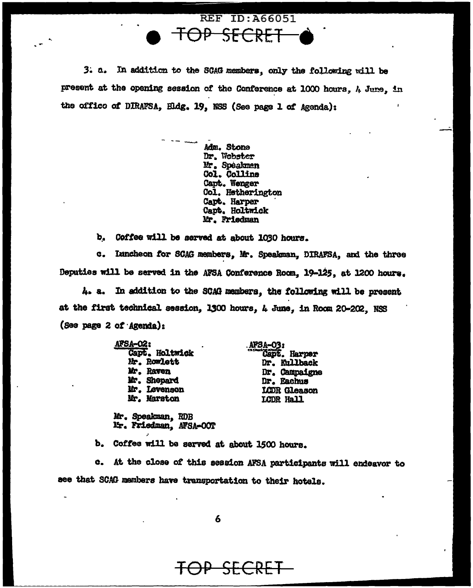

**REF ID: A66051** 

present at the opening session of the Conference at 1000 hours, A June, in the office of DIRAFSA, Hidg. 19, NSS (See page 1 of Agenda):

> Adm. Stone Dr. Webster Mr. Speakmen Col. Collins Capt. Wenger Col. Hetherington Capt. Harper Capt. Holtwick Mr. Friedman

b. Coffee will be served at about 1030 hours.

c. Inncheon for SCAG members, Mr. Speakman, DIRAFSA, and the three Deputies will be served in the AFSA Conference Room, 19-125, at 1200 hours.

4. a. In addition to the SCAG mambers, the following will be present at the first technical session, 1300 hours, 4 June, in Room 20-202, NSS (See page 2 of Agenda):

| AFSA <del>-</del> 02: |                          |
|-----------------------|--------------------------|
| Capt. Holtwick        | AFSA-03:<br>Capt. Harper |
| Mr. Rowlett           | Dr. Kullback             |
| Mr. Raven             | Dr. Campaigne            |
| Mr. Shepard           | Dr. Eachus               |
| Mr. Levenson          | LCDR Gleason             |
| Mr. Marston           | LCDR Hall                |
|                       |                          |

Mr. Speakman, RDB Mr. Friedman, AFSA-OOT

b. Coffee will be served at about 1500 hours.

c. At the close of this session AFSA participants will endeavor to see that SCAG members have transportation to their hotels.

<del>SECRET</del>

6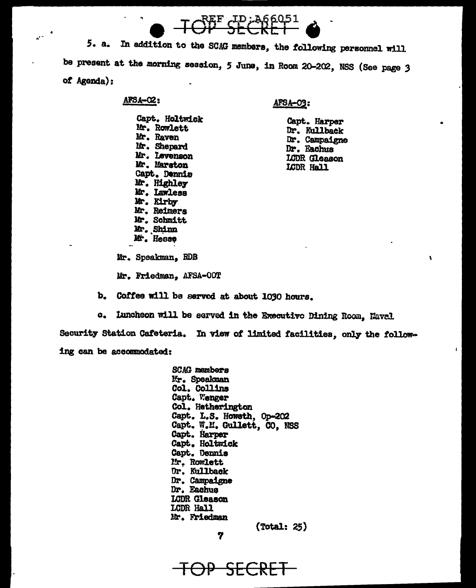

In addition to the SCAG members, the following personnel will 5. a. be present at the morning session, 5 June, in Room 20-202, NSS (See page 3 of  $A$ genda);

## $AFSA-02$ :

 $\mathbf{a}^*$ 

## AFSA-03:

Capt. Holtwick Mr. Rowlett Mr. Raven Mr. Shepard Mr. Levenson Mr. Marston Capt. Dennis Mr. Highley Mr. Lawless Mr. Kirby Mr. Reimers Mr. Schmitt Mr. Shinn Mr. Hesse

Capt. Harper Dr. Kullback Dr. Campaigne Dr. Eachus LCDR Gleason LCDR Hall

A

Mr. Speakman, RDB

Mr. Friedman. AFSA-00T

- b. Coffee will be served at about 1030 hours.
- Luncheon will be served in the Executive Dining Room, Naval  $\alpha_{\bullet}$

Security Station Cafeteria. In view of limited facilities, only the following can be accommodated:

> **SCAG** members Mr. Speakman Col. Collins Capt. Wenger Col. Hetherington Capt. L.S. Howeth, Op-202 Capt. W.M. Gullett, CO. NSS Capt. Harper Capt. Holtwick Capt. Dennis Mr. Rowlett Dr. Kullback Dr. Campaigne Dr. Eachus LCDR Gleason LCDR Hall Mr. Friedman  $(Total: 25)$

7

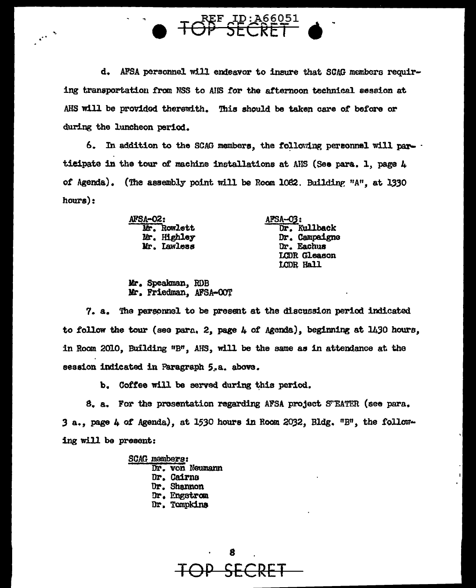

TOP SECRET

6. In addition to the SCAG members, the following personnel will participate in the tour of machine installations at AHS (See para. 1, page 4 of Agenda). (The assembly point will be Room 1082. Building "A", at 1330  $hours):$ 

> **AFSA-02:** Mr. Rowlett Mr. Highley Mr. Lawless

 $\ddot{\phantom{1}}$ 

afsa<del>-</del>03: Dr. Kullback Dr. Campaigne Dr. Eachus LCDR Gleason LCDR Hall

Mr. Speakman, RDB Mr. Friedman. AFSA-OOT

7. a. The personnel to be present at the discussion period indicated to follow the tour (see para, 2, page  $\mu$  of Agenda), beginning at 1430 hours, in Room 2010, Building "B", AHS, will be the same as in attendance at the session indicated in Paragraph 5.a. above.

b. Coffee will be served during this period.

8. a. For the prosentation regarding AFSA project STEATER (see para. 3 a., page 4 of Agenda), at 1530 hours in Room 2032, Bldg. "B", the following will be present:

> SCAG mambers: Dr. von Neumann Dr. Cairns Dr. Shannon Dr. Engstrom Dr. Tompkins